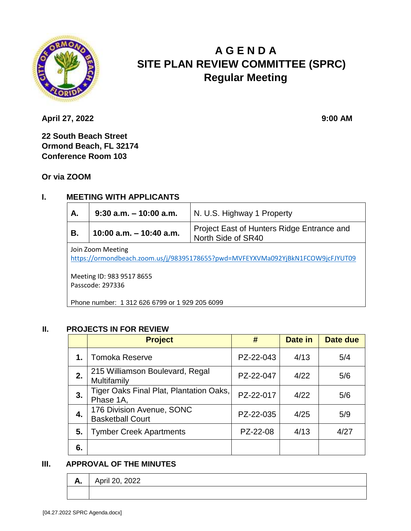

# **A G E N D A SITE PLAN REVIEW COMMITTEE (SPRC) Regular Meeting**

**April 27, 2022 9:00 AM** 

**22 South Beach Street Ormond Beach, FL 32174 Conference Room 103**

**Or via ZOOM**

## **I. MEETING WITH APPLICANTS**

| Α.                        | $9:30$ a.m. $-10:00$ a.m. | N. U.S. Highway 1 Property                 |  |
|---------------------------|---------------------------|--------------------------------------------|--|
| 10:00 a.m. $-$ 10:40 a.m. |                           | Project East of Hunters Ridge Entrance and |  |
| В.                        |                           | North Side of SR40                         |  |

Join Zoom Meeting

<https://ormondbeach.zoom.us/j/98395178655?pwd=MVFEYXVMa092YjBkN1FCOW9jcFJYUT09>

Meeting ID: 983 9517 8655 Passcode: 297336

Phone number: 1 312 626 6799 or 1 929 205 6099

#### **II. PROJECTS IN FOR REVIEW**

|    | <b>Project</b>                                       | #         | Date in | Date due |
|----|------------------------------------------------------|-----------|---------|----------|
| 1. | <b>Tomoka Reserve</b>                                | PZ-22-043 | 4/13    | 5/4      |
| 2. | 215 Williamson Boulevard, Regal<br>Multifamily       | PZ-22-047 | 4/22    | 5/6      |
| 3. | Tiger Oaks Final Plat, Plantation Oaks,<br>Phase 1A, | PZ-22-017 | 4/22    | 5/6      |
| 4. | 176 Division Avenue, SONC<br><b>Basketball Court</b> | PZ-22-035 | 4/25    | 5/9      |
| 5. | <b>Tymber Creek Apartments</b>                       | PZ-22-08  | 4/13    | 4/27     |
| 6. |                                                      |           |         |          |

#### **III. APPROVAL OF THE MINUTES**

| <br>л. | $\sim$<br>~<br>APHI ZU,<br>LULL |
|--------|---------------------------------|
|        |                                 |